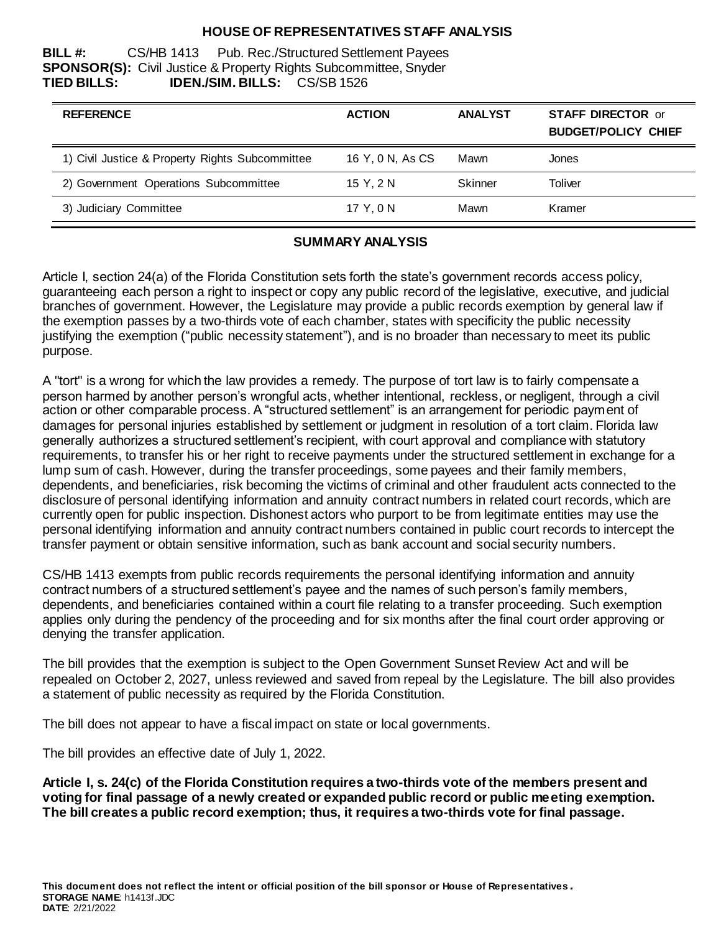### **HOUSE OF REPRESENTATIVES STAFF ANALYSIS**

**BILL #:** CS/HB 1413 Pub. Rec./Structured Settlement Payees **SPONSOR(S):** Civil Justice & Property Rights Subcommittee, Snyder **TIED BILLS: IDEN./SIM. BILLS:** CS/SB 1526

| <b>REFERENCE</b>                                | <b>ACTION</b>    | <b>ANALYST</b> | <b>STAFF DIRECTOR or</b><br><b>BUDGET/POLICY CHIEF</b> |
|-------------------------------------------------|------------------|----------------|--------------------------------------------------------|
| 1) Civil Justice & Property Rights Subcommittee | 16 Y, 0 N, As CS | Mawn           | Jones                                                  |
| 2) Government Operations Subcommittee           | 15 Y. 2 N        | Skinner        | Toliver                                                |
| 3) Judiciary Committee                          | 17 Y.ON          | Mawn           | Kramer                                                 |

#### **SUMMARY ANALYSIS**

Article I, section 24(a) of the Florida Constitution sets forth the state's government records access policy, guaranteeing each person a right to inspect or copy any public record of the legislative, executive, and judicial branches of government. However, the Legislature may provide a public records exemption by general law if the exemption passes by a two-thirds vote of each chamber, states with specificity the public necessity justifying the exemption ("public necessity statement"), and is no broader than necessary to meet its public purpose.

A "tort" is a wrong for which the law provides a remedy. The purpose of tort law is to fairly compensate a person harmed by another person's wrongful acts, whether intentional, reckless, or negligent, through a civil action or other comparable process. A "structured settlement" is an arrangement for periodic payment of damages for personal injuries established by settlement or judgment in resolution of a tort claim. Florida law generally authorizes a structured settlement's recipient, with court approval and compliance with statutory requirements, to transfer his or her right to receive payments under the structured settlement in exchange for a lump sum of cash. However, during the transfer proceedings, some payees and their family members, dependents, and beneficiaries, risk becoming the victims of criminal and other fraudulent acts connected to the disclosure of personal identifying information and annuity contract numbers in related court records, which are currently open for public inspection. Dishonest actors who purport to be from legitimate entities may use the personal identifying information and annuity contract numbers contained in public court records to intercept the transfer payment or obtain sensitive information, such as bank account and social security numbers.

CS/HB 1413 exempts from public records requirements the personal identifying information and annuity contract numbers of a structured settlement's payee and the names of such person's family members, dependents, and beneficiaries contained within a court file relating to a transfer proceeding. Such exemption applies only during the pendency of the proceeding and for six months after the final court order approving or denying the transfer application.

The bill provides that the exemption is subject to the Open Government Sunset Review Act and will be repealed on October 2, 2027, unless reviewed and saved from repeal by the Legislature. The bill also provides a statement of public necessity as required by the Florida Constitution.

The bill does not appear to have a fiscal impact on state or local governments.

The bill provides an effective date of July 1, 2022.

**Article I, s. 24(c) of the Florida Constitution requires a two-thirds vote of the members present and voting for final passage of a newly created or expanded public record or public meeting exemption. The bill creates a public record exemption; thus, it requires a two-thirds vote for final passage.**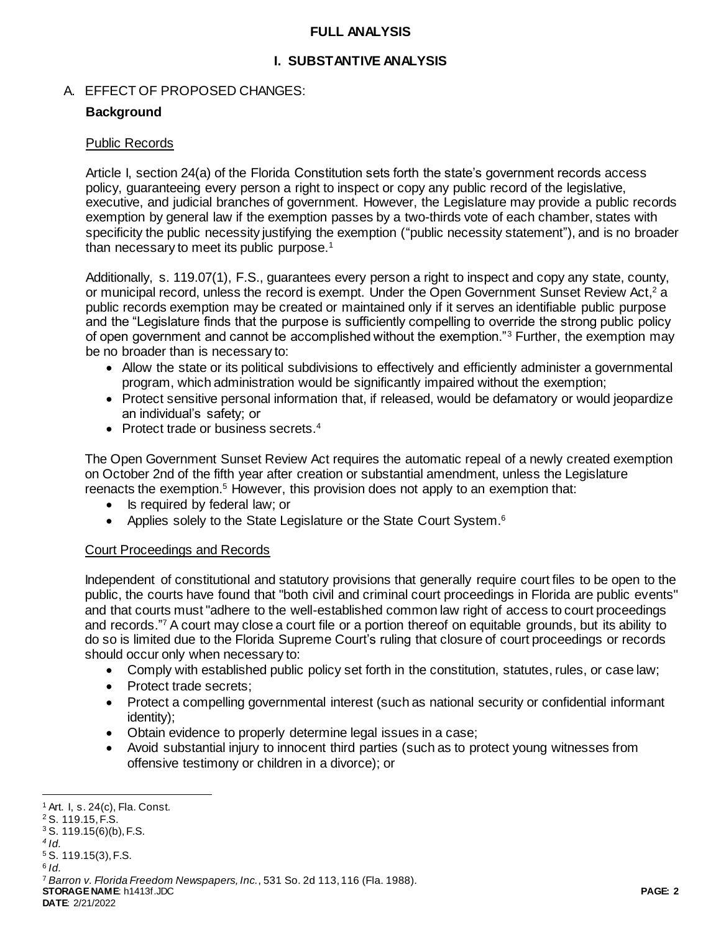#### **FULL ANALYSIS**

### **I. SUBSTANTIVE ANALYSIS**

#### A. EFFECT OF PROPOSED CHANGES:

#### **Background**

#### Public Records

Article I, section 24(a) of the Florida Constitution sets forth the state's government records access policy, guaranteeing every person a right to inspect or copy any public record of the legislative, executive, and judicial branches of government. However, the Legislature may provide a public records exemption by general law if the exemption passes by a two-thirds vote of each chamber, states with specificity the public necessity justifying the exemption ("public necessity statement"), and is no broader than necessary to meet its public purpose. $1$ 

Additionally, s. 119.07(1), F.S., guarantees every person a right to inspect and copy any state, county, or municipal record, unless the record is exempt. Under the Open Government Sunset Review Act,<sup>2</sup> a public records exemption may be created or maintained only if it serves an identifiable public purpose and the "Legislature finds that the purpose is sufficiently compelling to override the strong public policy of open government and cannot be accomplished without the exemption."<sup>3</sup> Further, the exemption may be no broader than is necessary to:

- Allow the state or its political subdivisions to effectively and efficiently administer a governmental program, which administration would be significantly impaired without the exemption;
- Protect sensitive personal information that, if released, would be defamatory or would jeopardize an individual's safety; or
- Protect trade or business secrets. $4$

The Open Government Sunset Review Act requires the automatic repeal of a newly created exemption on October 2nd of the fifth year after creation or substantial amendment, unless the Legislature reenacts the exemption.<sup>5</sup> However, this provision does not apply to an exemption that:

- Is required by federal law; or
- Applies solely to the State Legislature or the State Court System.<sup>6</sup>

### Court Proceedings and Records

Independent of constitutional and statutory provisions that generally require court files to be open to the public, the courts have found that "both civil and criminal court proceedings in Florida are public events" and that courts must "adhere to the well-established common law right of access to court proceedings and records."<sup>7</sup> A court may close a court file or a portion thereof on equitable grounds, but its ability to do so is limited due to the Florida Supreme Court's ruling that closure of court proceedings or records should occur only when necessary to:

- Comply with established public policy set forth in the constitution, statutes, rules, or case law;
- Protect trade secrets;
- Protect a compelling governmental interest (such as national security or confidential informant identity);
- Obtain evidence to properly determine legal issues in a case;
- Avoid substantial injury to innocent third parties (such as to protect young witnesses from offensive testimony or children in a divorce); or

l

**DATE**: 2/21/2022

 $<sup>1</sup>$  Art. I, s. 24(c), Fla. Const.</sup>

<sup>2</sup> S. 119.15, F.S.

 $3$  S. 119.15(6)(b), F.S.

*<sup>4</sup> Id.*

<sup>5</sup> S. 119.15(3), F.S.

<sup>6</sup> *Id.*

**STORAGE NAME**: h1413f.JDC **PAGE: 2** <sup>7</sup> *Barron v. Florida Freedom Newspapers, Inc.*, 531 So. 2d 113, 116 (Fla. 1988).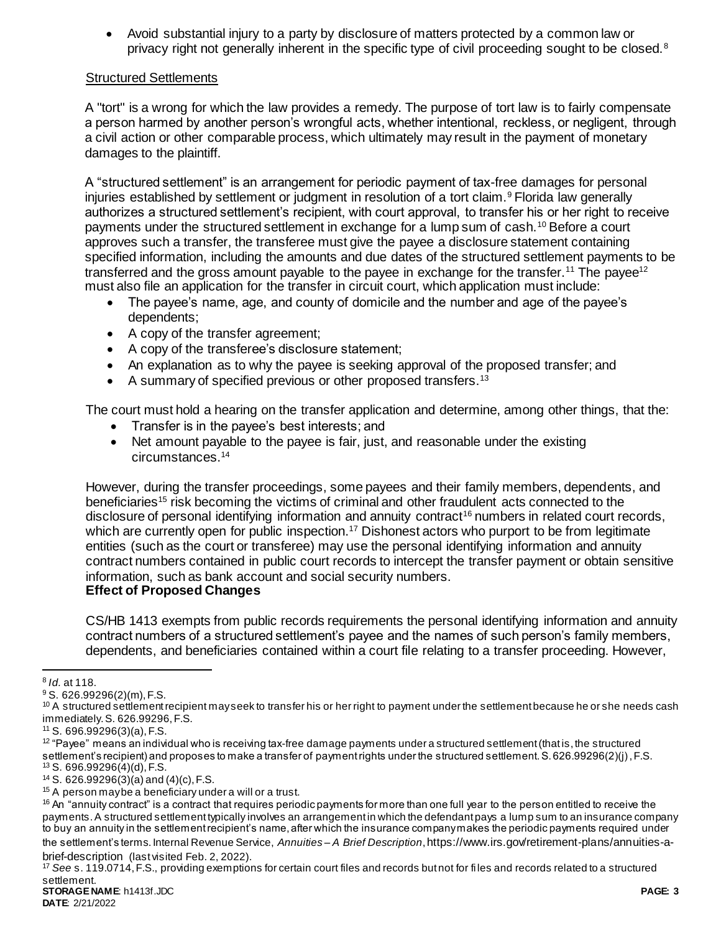Avoid substantial injury to a party by disclosure of matters protected by a common law or privacy right not generally inherent in the specific type of civil proceeding sought to be closed.<sup>8</sup>

## Structured Settlements

A "tort" is a wrong for which the law provides a remedy. The purpose of tort law is to fairly compensate a person harmed by another person's wrongful acts, whether intentional, reckless, or negligent, through a civil action or other comparable process, which ultimately may result in the payment of monetary damages to the plaintiff.

A "structured settlement" is an arrangement for periodic payment of tax-free damages for personal injuries established by settlement or judgment in resolution of a tort claim.<sup>9</sup> Florida law generally authorizes a structured settlement's recipient, with court approval, to transfer his or her right to receive payments under the structured settlement in exchange for a lump sum of cash.<sup>10</sup> Before a court approves such a transfer, the transferee must give the payee a disclosure statement containing specified information, including the amounts and due dates of the structured settlement payments to be transferred and the gross amount payable to the payee in exchange for the transfer.<sup>11</sup> The payee<sup>12</sup> must also file an application for the transfer in circuit court, which application must include:

- The payee's name, age, and county of domicile and the number and age of the payee's dependents;
- A copy of the transfer agreement;
- A copy of the transferee's disclosure statement;
- An explanation as to why the payee is seeking approval of the proposed transfer; and
- A summary of specified previous or other proposed transfers.<sup>13</sup>

The court must hold a hearing on the transfer application and determine, among other things, that the:

- Transfer is in the payee's best interests; and
- Net amount payable to the payee is fair, just, and reasonable under the existing circumstances.<sup>14</sup>

However, during the transfer proceedings, some payees and their family members, dependents, and beneficiaries<sup>15</sup> risk becoming the victims of criminal and other fraudulent acts connected to the disclosure of personal identifying information and annuity contract<sup>16</sup> numbers in related court records, which are currently open for public inspection.<sup>17</sup> Dishonest actors who purport to be from legitimate entities (such as the court or transferee) may use the personal identifying information and annuity contract numbers contained in public court records to intercept the transfer payment or obtain sensitive information, such as bank account and social security numbers.

### **Effect of Proposed Changes**

CS/HB 1413 exempts from public records requirements the personal identifying information and annuity contract numbers of a structured settlement's payee and the names of such person's family members, dependents, and beneficiaries contained within a court file relating to a transfer proceeding. However,

 $\overline{a}$ 

**STORAGE NAME**: h1413f.JDC **PAGE: 3** <sup>17</sup> *See* s. 119.0714, F.S., providing exemptions for certain court files and records but not for fi les and records related to a structured settlement.

**DATE**: 2/21/2022

<sup>8</sup> *Id.* at 118.

<sup>9</sup> S. 626.99296(2)(m), F.S.

 $10$  A structured settlement recipient may seek to transfer his or her right to payment under the settlement because he or she needs cash immediately. S. 626.99296, F.S.

<sup>11</sup> S. 696.99296(3)(a), F.S.

 $12$  "Payee" means an individual who is receiving tax-free damage payments under a structured settlement (that is, the structured settlement's recipient) and proposes to make a transfer of payment rights under the structured settlement. S. 626.99296(2)(j), F.S. <sup>13</sup> S. 696.99296(4)(d), F.S.

 $14$  S. 626.99296(3)(a) and (4)(c), F.S.

<sup>&</sup>lt;sup>15</sup> A person may be a beneficiary under a will or a trust.

 $16$  An "annuity contract" is a contract that requires periodic payments for more than one full year to the person entitled to receive the payments. A structured settlement typically involves an arrangement in which the defendant pays a lump sum to an insurance company to buy an annuity in the settlement recipient's name, after which the insurance company makes the periodic payments required under the settlement's terms. Internal Revenue Service, *Annuities – A Brief Description*, https://www.irs.gov/retirement-plans/annuities-abrief-description (last visited Feb. 2, 2022).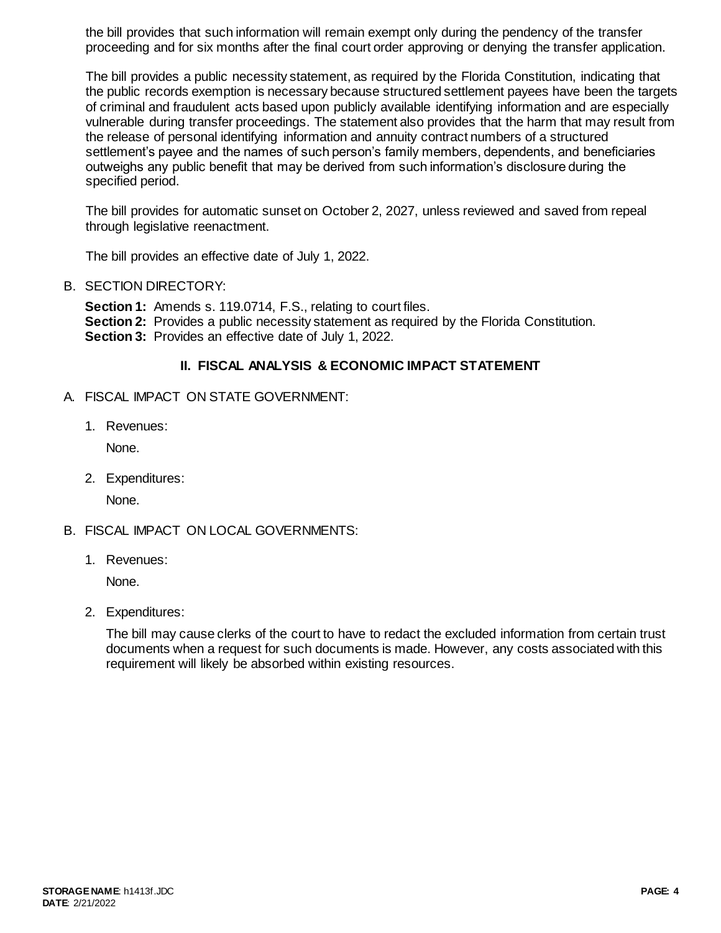the bill provides that such information will remain exempt only during the pendency of the transfer proceeding and for six months after the final court order approving or denying the transfer application.

The bill provides a public necessity statement, as required by the Florida Constitution, indicating that the public records exemption is necessary because structured settlement payees have been the targets of criminal and fraudulent acts based upon publicly available identifying information and are especially vulnerable during transfer proceedings. The statement also provides that the harm that may result from the release of personal identifying information and annuity contract numbers of a structured settlement's payee and the names of such person's family members, dependents, and beneficiaries outweighs any public benefit that may be derived from such information's disclosure during the specified period.

The bill provides for automatic sunset on October 2, 2027, unless reviewed and saved from repeal through legislative reenactment.

The bill provides an effective date of July 1, 2022.

B. SECTION DIRECTORY:

**Section 1:** Amends s. 119.0714, F.S., relating to court files. **Section 2:** Provides a public necessity statement as required by the Florida Constitution. **Section 3:** Provides an effective date of July 1, 2022.

# **II. FISCAL ANALYSIS & ECONOMIC IMPACT STATEMENT**

- A. FISCAL IMPACT ON STATE GOVERNMENT:
	- 1. Revenues:

None.

2. Expenditures:

None.

- B. FISCAL IMPACT ON LOCAL GOVERNMENTS:
	- 1. Revenues:

None.

2. Expenditures:

The bill may cause clerks of the court to have to redact the excluded information from certain trust documents when a request for such documents is made. However, any costs associated with this requirement will likely be absorbed within existing resources.